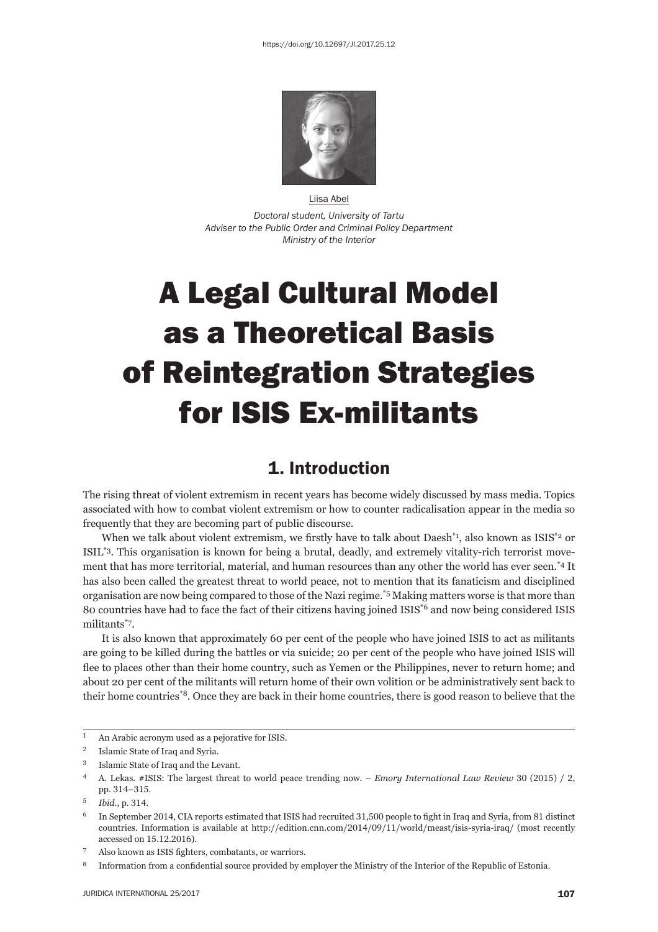

Liisa Abel *Doctoral student, University of Tartu Adviser to the Public Order and Criminal Policy Department Ministry of the Interior* 

# A Legal Cultural Model as a Theoretical Basis of Reintegration Strategies for ISIS Ex-militants

## 1. Introduction

The rising threat of violent extremism in recent years has become widely discussed by mass media. Topics associated with how to combat violent extremism or how to counter radicalisation appear in the media so frequently that they are becoming part of public discourse.

When we talk about violent extremism, we firstly have to talk about Daesh<sup>\*1</sup>, also known as ISIS<sup>\*2</sup> or ISIL\*3. This organisation is known for being a brutal, deadly, and extremely vitality-rich terrorist movement that has more territorial, material, and human resources than any other the world has ever seen.\*4 It has also been called the greatest threat to world peace, not to mention that its fanaticism and disciplined organisation are now being compared to those of the Nazi regime.\*5 Making matters worse is that more than 80 countries have had to face the fact of their citizens having joined ISIS<sup>\*6</sup> and now being considered ISIS militants\*7.

It is also known that approximately 60 per cent of the people who have joined ISIS to act as militants are going to be killed during the battles or via suicide; 20 per cent of the people who have joined ISIS will flee to places other than their home country, such as Yemen or the Philippines, never to return home; and about 20 per cent of the militants will return home of their own volition or be administratively sent back to their home countries\*8. Once they are back in their home countries, there is good reason to believe that the

<sup>&</sup>lt;sup>1</sup> An Arabic acronym used as a pejorative for ISIS.

<sup>&</sup>lt;sup>2</sup> Islamic State of Iraq and Syria.

<sup>ɴ</sup> Islamic State of Iraq and the Levant.

A. Lekas. #ISIS: The largest threat to world peace trending now. – *Emory International Law Review* 30 (2015) / 2, pp. 314-315.

<sup>&</sup>lt;sup>5</sup> *Ibid.*, p. 314.

 $^6$  In September 2014, CIA reports estimated that ISIS had recruited 31,500 people to fight in Iraq and Syria, from 81 distinct countries. Information is available at http://edition.cnn.com/2014/09/11/world/meast/isis-syria-iraq/ (most recently accessed on 15.12.2016).

Also known as ISIS fighters, combatants, or warriors.

<sup>&</sup>lt;sup>8</sup> Information from a confidential source provided by employer the Ministry of the Interior of the Republic of Estonia.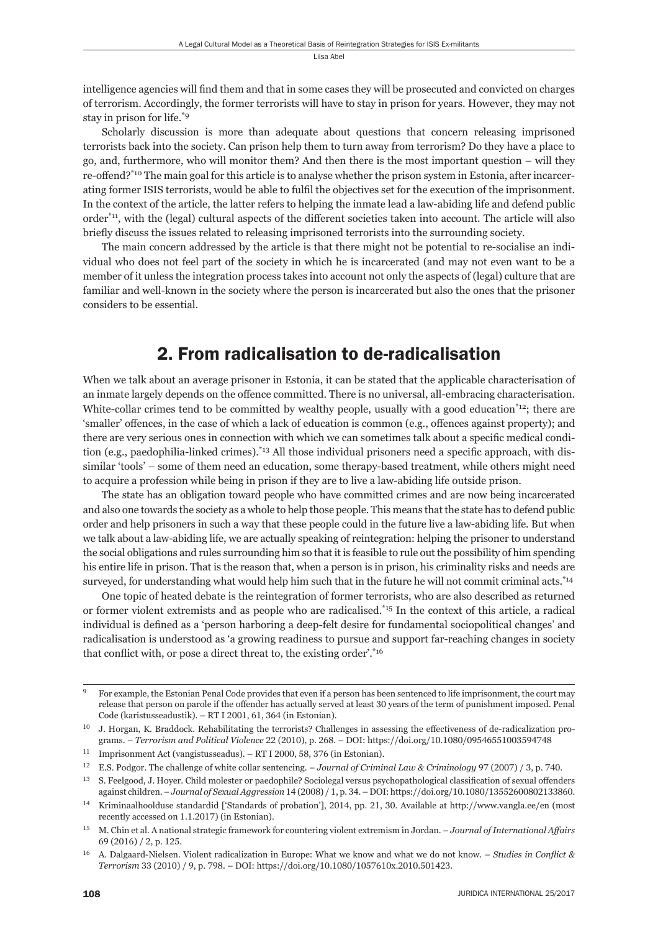intelligence agencies will find them and that in some cases they will be prosecuted and convicted on charges of terrorism. Accordingly, the former terrorists will have to stay in prison for years. However, they may not stay in prison for life.\*9

Scholarly discussion is more than adequate about questions that concern releasing imprisoned terrorists back into the society. Can prison help them to turn away from terrorism? Do they have a place to go, and, furthermore, who will monitor them? And then there is the most important question – will they re-offend?\*<sup>10</sup> The main goal for this article is to analyse whether the prison system in Estonia, after incarcerating former ISIS terrorists, would be able to fulfi l the objectives set for the execution of the imprisonment. In the context of the article, the latter refers to helping the inmate lead a law-abiding life and defend public  $order<sup>*</sup>11$ , with the (legal) cultural aspects of the different societies taken into account. The article will also briefly discuss the issues related to releasing imprisoned terrorists into the surrounding society.

The main concern addressed by the article is that there might not be potential to re-socialise an individual who does not feel part of the society in which he is incarcerated (and may not even want to be a member of it unless the integration process takes into account not only the aspects of (legal) culture that are familiar and well-known in the society where the person is incarcerated but also the ones that the prisoner considers to be essential.

## 2. From radicalisation to de-radicalisation

When we talk about an average prisoner in Estonia, it can be stated that the applicable characterisation of an inmate largely depends on the offence committed. There is no universal, all-embracing characterisation. White-collar crimes tend to be committed by wealthy people, usually with a good education<sup>\*12</sup>; there are 'smaller' offences, in the case of which a lack of education is common (e.g., offences against property); and there are very serious ones in connection with which we can sometimes talk about a specific medical condition (e.g., paedophilia-linked crimes).<sup>\*13</sup> All those individual prisoners need a specific approach, with dissimilar 'tools' – some of them need an education, some therapy-based treatment, while others might need to acquire a profession while being in prison if they are to live a law-abiding life outside prison.

The state has an obligation toward people who have committed crimes and are now being incarcerated and also one towards the society as a whole to help those people. This means that the state has to defend public order and help prisoners in such a way that these people could in the future live a law-abiding life. But when we talk about a law-abiding life, we are actually speaking of reintegration: helping the prisoner to understand the social obligations and rules surrounding him so that it is feasible to rule out the possibility of him spending his entire life in prison. That is the reason that, when a person is in prison, his criminality risks and needs are surveyed, for understanding what would help him such that in the future he will not commit criminal acts.<sup>\*14</sup>

One topic of heated debate is the reintegration of former terrorists, who are also described as returned or former violent extremists and as people who are radicalised.\*15 In the context of this article, a radical individual is defined as a 'person harboring a deep-felt desire for fundamental sociopolitical changes' and radicalisation is understood as 'a growing readiness to pursue and support far-reaching changes in society that conflict with, or pose a direct threat to, the existing order'. $*16$ 

For example, the Estonian Penal Code provides that even if a person has been sentenced to life imprisonment, the court may release that person on parole if the offender has actually served at least 30 years of the term of punishment imposed. Penal Code (karistusseadustik). – RT I 2001, 61, 364 (in Estonian).

<sup>&</sup>lt;sup>10</sup> J. Horgan, K. Braddock. Rehabilitating the terrorists? Challenges in assessing the effectiveness of de-radicalization programs. – *Terrorism and Political Violence* 22 (2010), p. 268. – DOI: https://doi.org/10.1080/09546551003594748

<sup>&</sup>lt;sup>11</sup> Imprisonment Act (vangistusseadus). – RT I 2000, 58, 376 (in Estonian).

<sup>&</sup>lt;sup>12</sup> E.S. Podgor. The challenge of white collar sentencing. – *Journal of Criminal Law & Criminology* 97 (2007) / 3, p. 740.

<sup>&</sup>lt;sup>13</sup> S. Feelgood, J. Hoyer. Child molester or paedophile? Sociolegal versus psychopathological classification of sexual offenders against children. *– Journal of Sexual Aggression* 14 (2008) / 1, p. 34. – DOI: https://doi.org/10.1080/13552600802133860.

<sup>&</sup>lt;sup>14</sup> Kriminaalhoolduse standardid ['Standards of probation'], 2014, pp. 21, 30. Available at http://www.vangla.ee/en (most recently accessed on 1.1.2017) (in Estonian).

ɲɶ M. Chin et al. A national strategic framework for countering violent extremism in Jordan. – *Journal of International Aff airs* 69 (2016) / 2, p. 125.

<sup>&</sup>lt;sup>16</sup> A. Dalgaard-Nielsen. Violent radicalization in Europe: What we know and what we do not know. – *Studies in Conflict & Terrorism* 33 (2010) / 9, p. 798. – DOI: https://doi.org/10.1080/1057610x.2010.501423.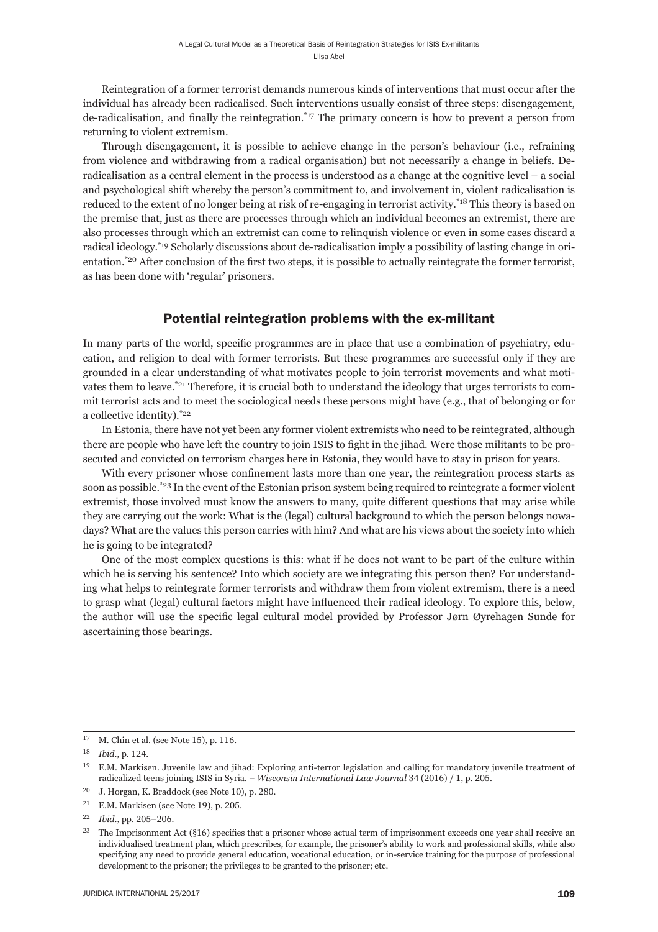Reintegration of a former terrorist demands numerous kinds of interventions that must occur after the individual has already been radicalised. Such interventions usually consist of three steps: disengagement, de-radicalisation, and finally the reintegration.<sup> $*17$ </sup> The primary concern is how to prevent a person from returning to violent extremism.

Through disengagement, it is possible to achieve change in the person's behaviour (i.e., refraining from violence and withdrawing from a radical organisation) but not necessarily a change in beliefs. Deradicalisation as a central element in the process is understood as a change at the cognitive level – a social and psychological shift whereby the person's commitment to, and involvement in, violent radicalisation is reduced to the extent of no longer being at risk of re-engaging in terrorist activity.<sup>\*18</sup> This theory is based on the premise that, just as there are processes through which an individual becomes an extremist, there are also processes through which an extremist can come to relinquish violence or even in some cases discard a radical ideology.\*19 Scholarly discussions about de-radicalisation imply a possibility of lasting change in orientation.<sup>\*20</sup> After conclusion of the first two steps, it is possible to actually reintegrate the former terrorist, as has been done with 'regular' prisoners.

#### Potential reintegration problems with the ex-militant

In many parts of the world, specific programmes are in place that use a combination of psychiatry, education, and religion to deal with former terrorists. But these programmes are successful only if they are grounded in a clear understanding of what motivates people to join terrorist movements and what motivates them to leave.<sup>\*21</sup> Therefore, it is crucial both to understand the ideology that urges terrorists to commit terrorist acts and to meet the sociological needs these persons might have (e.g., that of belonging or for a collective identity).<sup>\*22</sup>

In Estonia, there have not yet been any former violent extremists who need to be reintegrated, although there are people who have left the country to join ISIS to fight in the jihad. Were those militants to be prosecuted and convicted on terrorism charges here in Estonia, they would have to stay in prison for years.

With every prisoner whose confinement lasts more than one year, the reintegration process starts as soon as possible.<sup>\*23</sup> In the event of the Estonian prison system being required to reintegrate a former violent extremist, those involved must know the answers to many, quite different questions that may arise while they are carrying out the work: What is the (legal) cultural background to which the person belongs nowadays? What are the values this person carries with him? And what are his views about the society into which he is going to be integrated?

One of the most complex questions is this: what if he does not want to be part of the culture within which he is serving his sentence? Into which society are we integrating this person then? For understanding what helps to reintegrate former terrorists and withdraw them from violent extremism, there is a need to grasp what (legal) cultural factors might have influenced their radical ideology. To explore this, below, the author will use the specifi c legal cultural model provided by Professor Jørn Øyrehagen Sunde for ascertaining those bearings.

 $^{17}$  –M. Chin et al. (see Note 15), p. 116.

<sup>18</sup> *Ibid.*, p. 124.

<sup>&</sup>lt;sup>19</sup> E.M. Markisen. Juvenile law and jihad: Exploring anti-terror legislation and calling for mandatory juvenile treatment of radicalized teens joining ISIS in Syria. – *Wisconsin International Law Journal* 34 (2016) / 1, p. 205.

 $^{20}$  J. Horgan, K. Braddock (see Note 10), p. 280.

 $21$  E.M. Markisen (see Note 19), p. 205.

<sup>&</sup>lt;sup>22</sup> *Ibid.*, pp. 205-206.

<sup>&</sup>lt;sup>23</sup> The Imprisonment Act (§16) specifies that a prisoner whose actual term of imprisonment exceeds one year shall receive an individualised treatment plan, which prescribes, for example, the prisoner's ability to work and professional skills, while also specifying any need to provide general education, vocational education, or in-service training for the purpose of professional development to the prisoner; the privileges to be granted to the prisoner; etc.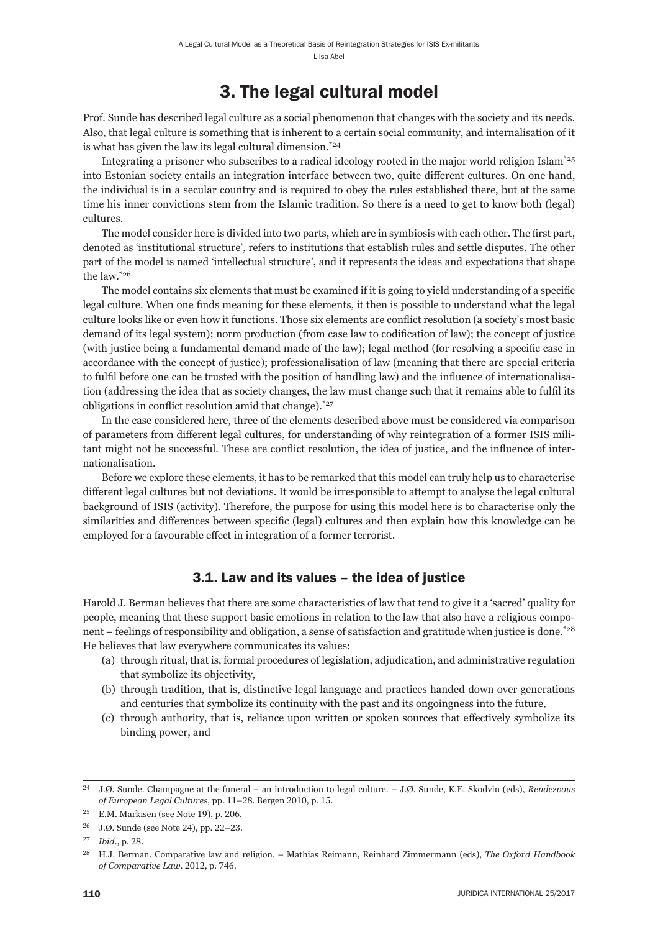## 3. The legal cultural model

Prof. Sunde has described legal culture as a social phenomenon that changes with the society and its needs. Also, that legal culture is something that is inherent to a certain social community, and internalisation of it is what has given the law its legal cultural dimension.\*24

Integrating a prisoner who subscribes to a radical ideology rooted in the major world religion Islam\*25 into Estonian society entails an integration interface between two, quite different cultures. On one hand, the individual is in a secular country and is required to obey the rules established there, but at the same time his inner convictions stem from the Islamic tradition. So there is a need to get to know both (legal) cultures.

The model consider here is divided into two parts, which are in symbiosis with each other. The first part, denoted as 'institutional structure', refers to institutions that establish rules and settle disputes. The other part of the model is named 'intellectual structure', and it represents the ideas and expectations that shape the law.\*26

The model contains six elements that must be examined if it is going to yield understanding of a specific legal culture. When one finds meaning for these elements, it then is possible to understand what the legal culture looks like or even how it functions. Those six elements are conflict resolution (a society's most basic demand of its legal system); norm production (from case law to codification of law); the concept of justice (with justice being a fundamental demand made of the law); legal method (for resolving a specific case in accordance with the concept of justice); professionalisation of law (meaning that there are special criteria to fulfil before one can be trusted with the position of handling law) and the influence of internationalisation (addressing the idea that as society changes, the law must change such that it remains able to fulfil its obligations in conflict resolution amid that change). $*27$ 

In the case considered here, three of the elements described above must be considered via comparison of parameters from different legal cultures, for understanding of why reintegration of a former ISIS militant might not be successful. These are conflict resolution, the idea of justice, and the influence of internationalisation.

Before we explore these elements, it has to be remarked that this model can truly help us to characterise different legal cultures but not deviations. It would be irresponsible to attempt to analyse the legal cultural background of ISIS (activity). Therefore, the purpose for using this model here is to characterise only the similarities and differences between specific (legal) cultures and then explain how this knowledge can be employed for a favourable effect in integration of a former terrorist.

#### 3.1. Law and its values – the idea of justice

Harold J. Berman believes that there are some characteristics of law that tend to give it a 'sacred' quality for people, meaning that these support basic emotions in relation to the law that also have a religious component – feelings of responsibility and obligation, a sense of satisfaction and gratitude when justice is done.\*28 He believes that law everywhere communicates its values:

- (a) through ritual, that is, formal procedures of legislation, adjudication, and administrative regulation that symbolize its objectivity,
- (b) through tradition, that is, distinctive legal language and practices handed down over generations and centuries that symbolize its continuity with the past and its ongoingness into the future,
- (c) through authority, that is, reliance upon written or spoken sources that effectively symbolize its binding power, and

ɳɵ J.Ø. Sunde. Champagne at the funeral – an introduction to legal culture. – J.Ø. Sunde, K.E. Skodvin (eds), *Rendezvous of European Legal Cultures*, pp. 11–28. Bergen 2010, p. 15.

 $25$  E.M. Markisen (see Note 19), p. 206.

<sup>&</sup>lt;sup>26</sup> J.Ø. Sunde (see Note 24), pp. 22–23.

<sup>&</sup>lt;sup>27</sup> *Ibid.*, p. 28.

ɳɹ H.J. Berman. Comparative law and religion. – Mathias Reimann, Reinhard Zimmermann (eds), *The Oxford Handbook of Comparative Law.* 2012, p. 746.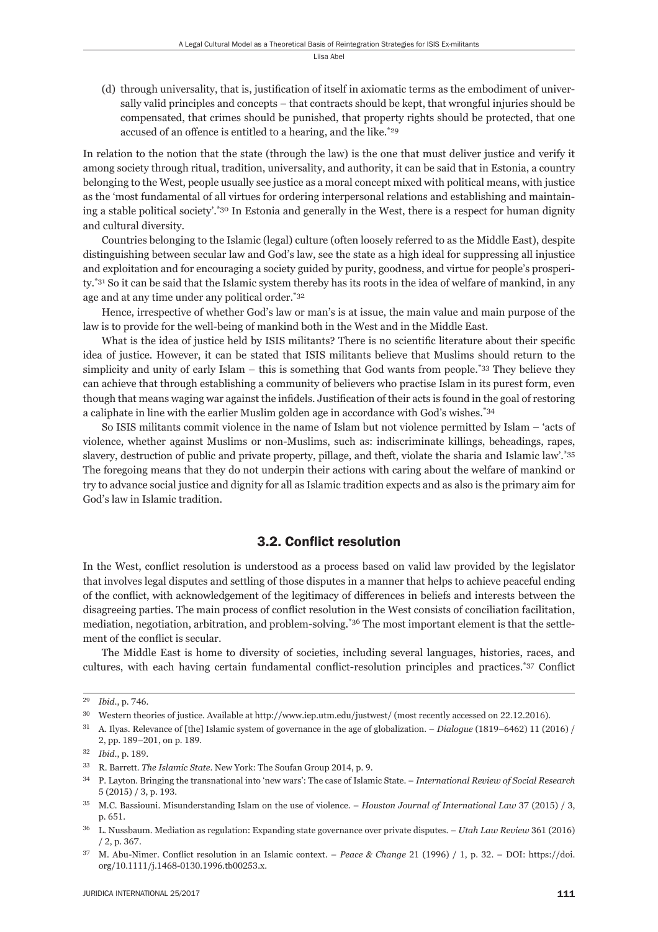(d) through universality, that is, justification of itself in axiomatic terms as the embodiment of universally valid principles and concepts – that contracts should be kept, that wrongful injuries should be compensated, that crimes should be punished, that property rights should be protected, that one accused of an offence is entitled to a hearing, and the like.<sup>\*29</sup>

In relation to the notion that the state (through the law) is the one that must deliver justice and verify it among society through ritual, tradition, universality, and authority, it can be said that in Estonia, a country belonging to the West, people usually see justice as a moral concept mixed with political means, with justice as the 'most fundamental of all virtues for ordering interpersonal relations and establishing and maintaining a stable political society'.\*30 In Estonia and generally in the West, there is a respect for human dignity and cultural diversity.

Countries belonging to the Islamic (legal) culture (often loosely referred to as the Middle East), despite distinguishing between secular law and God's law, see the state as a high ideal for suppressing all injustice and exploitation and for encouraging a society guided by purity, goodness, and virtue for people's prosperity.<sup>\*31</sup> So it can be said that the Islamic system thereby has its roots in the idea of welfare of mankind, in any age and at any time under any political order.\*32

Hence, irrespective of whether God's law or man's is at issue, the main value and main purpose of the law is to provide for the well-being of mankind both in the West and in the Middle East.

What is the idea of justice held by ISIS militants? There is no scientific literature about their specific idea of justice. However, it can be stated that ISIS militants believe that Muslims should return to the simplicity and unity of early Islam – this is something that God wants from people.<sup>\*33</sup> They believe they can achieve that through establishing a community of believers who practise Islam in its purest form, even though that means waging war against the infidels. Justification of their acts is found in the goal of restoring a caliphate in line with the earlier Muslim golden age in accordance with God's wishes.\*34

So ISIS militants commit violence in the name of Islam but not violence permitted by Islam – 'acts of violence, whether against Muslims or non-Muslims, such as: indiscriminate killings, beheadings, rapes, slavery, destruction of public and private property, pillage, and theft, violate the sharia and Islamic law'.\*35 The foregoing means that they do not underpin their actions with caring about the welfare of mankind or try to advance social justice and dignity for all as Islamic tradition expects and as also is the primary aim for God's law in Islamic tradition.

### 3.2. Conflict resolution

In the West, conflict resolution is understood as a process based on valid law provided by the legislator that involves legal disputes and settling of those disputes in a manner that helps to achieve peaceful ending of the conflict, with acknowledgement of the legitimacy of differences in beliefs and interests between the disagreeing parties. The main process of conflict resolution in the West consists of conciliation facilitation, mediation, negotiation, arbitration, and problem-solving.\*36 The most important element is that the settlement of the conflict is secular.

The Middle East is home to diversity of societies, including several languages, histories, races, and cultures, with each having certain fundamental conflict-resolution principles and practices.\*37 Conflict

<sup>&</sup>lt;sup>29</sup> *Ibid.*, p. 746.

<sup>&</sup>lt;sup>30</sup> Western theories of justice. Available at http://www.iep.utm.edu/justwest/ (most recently accessed on 22.12.2016).

<sup>&</sup>lt;sup>31</sup> A. Ilyas. Relevance of [the] Islamic system of governance in the age of globalization. – *Dialogue* (1819–6462) 11 (2016) / 2, pp. 189–201, on p. 189.

<sup>32</sup> *Ibid.*, p. 189.

<sup>&</sup>lt;sup>33</sup> R. Barrett. *The Islamic State*. New York: The Soufan Group 2014, p. 9.

ɴɵ P. Layton. Bringing the transnational into 'new wars': The case of Islamic State. – *International Review of Social Research*  $5(2015)/3$ , p. 193.

<sup>&</sup>lt;sup>35</sup> M.C. Bassiouni. Misunderstanding Islam on the use of violence. – *Houston Journal of International Law* 37 (2015) / 3, p. 651.

<sup>&</sup>lt;sup>36</sup> L. Nussbaum. Mediation as regulation: Expanding state governance over private disputes. – *Utah Law Review* 361 (2016)  $/ 2$ , p. 367.

<sup>&</sup>lt;sup>37</sup> M. Abu-Nimer. Conflict resolution in an Islamic context. – *Peace & Change* 21 (1996) / 1, p. 32. – DOI: https://doi. org/10.1111/j.1468-0130.1996.tb00253.x.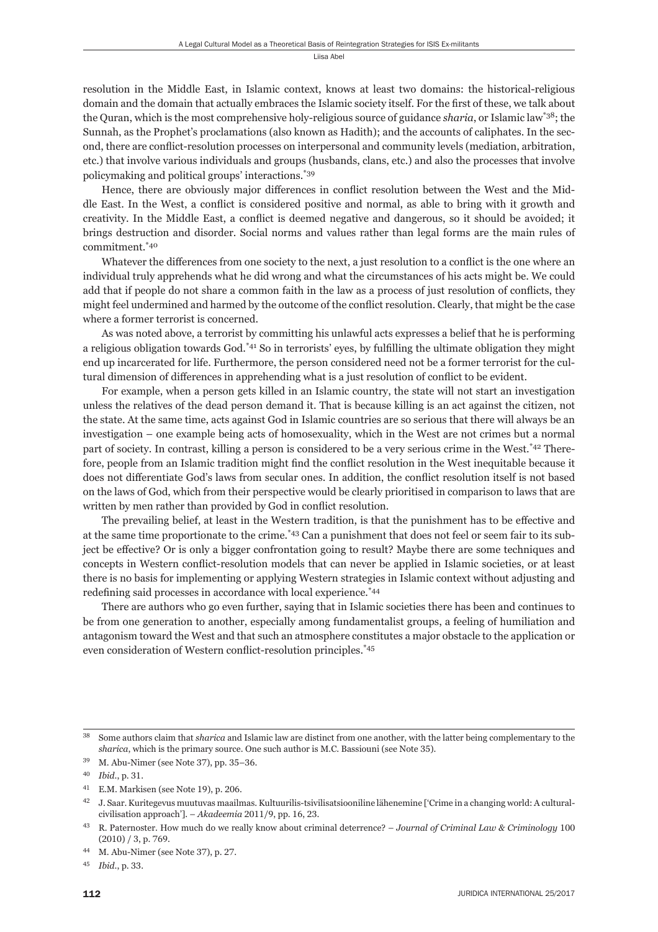resolution in the Middle East, in Islamic context, knows at least two domains: the historical-religious domain and the domain that actually embraces the Islamic society itself. For the first of these, we talk about the Quran, which is the most comprehensive holy-religious source of guidance *sharia*, or Islamic law\*38; the Sunnah, as the Prophet's proclamations (also known as Hadith); and the accounts of caliphates. In the second, there are conflict-resolution processes on interpersonal and community levels (mediation, arbitration, etc.) that involve various individuals and groups (husbands, clans, etc.) and also the processes that involve policymaking and political groups' interactions.\*39

Hence, there are obviously major differences in conflict resolution between the West and the Middle East. In the West, a conflict is considered positive and normal, as able to bring with it growth and creativity. In the Middle East, a conflict is deemed negative and dangerous, so it should be avoided; it brings destruction and disorder. Social norms and values rather than legal forms are the main rules of commitment.\*40

Whatever the differences from one society to the next, a just resolution to a conflict is the one where an individual truly apprehends what he did wrong and what the circumstances of his acts might be. We could add that if people do not share a common faith in the law as a process of just resolution of conflicts, they might feel undermined and harmed by the outcome of the conflict resolution. Clearly, that might be the case where a former terrorist is concerned.

As was noted above, a terrorist by committing his unlawful acts expresses a belief that he is performing a religious obligation towards God.<sup>\*41</sup> So in terrorists' eyes, by fulfilling the ultimate obligation they might end up incarcerated for life. Furthermore, the person considered need not be a former terrorist for the cultural dimension of differences in apprehending what is a just resolution of conflict to be evident.

For example, when a person gets killed in an Islamic country, the state will not start an investigation unless the relatives of the dead person demand it. That is because killing is an act against the citizen, not the state. At the same time, acts against God in Islamic countries are so serious that there will always be an investigation – one example being acts of homosexuality, which in the West are not crimes but a normal part of society. In contrast, killing a person is considered to be a very serious crime in the West.\*42 Therefore, people from an Islamic tradition might find the conflict resolution in the West inequitable because it does not differentiate God's laws from secular ones. In addition, the conflict resolution itself is not based on the laws of God, which from their perspective would be clearly prioritised in comparison to laws that are written by men rather than provided by God in conflict resolution.

The prevailing belief, at least in the Western tradition, is that the punishment has to be effective and at the same time proportionate to the crime.<sup>\*43</sup> Can a punishment that does not feel or seem fair to its subject be effective? Or is only a bigger confrontation going to result? Maybe there are some techniques and concepts in Western conflict-resolution models that can never be applied in Islamic societies, or at least there is no basis for implementing or applying Western strategies in Islamic context without adjusting and redefining said processes in accordance with local experience.<sup>\*44</sup>

There are authors who go even further, saying that in Islamic societies there has been and continues to be from one generation to another, especially among fundamentalist groups, a feeling of humiliation and antagonism toward the West and that such an atmosphere constitutes a major obstacle to the application or even consideration of Western conflict-resolution principles.<sup>\*45</sup>

ɴɹ Some authors claim that *sharica* and Islamic law are distinct from one another, with the latter being complementary to the *sharica*, which is the primary source. One such author is M.C. Bassiouni (see Note 35).

 $39$  M. Abu-Nimer (see Note 37), pp. 35-36.

<sup>40</sup> *Ibid.*, p. 31.

 $41$  E.M. Markisen (see Note 19), p. 206.

 $42$  J. Saar. Kuritegevus muutuvas maailmas. Kultuurilis-tsivilisatsiooniline lähenemine ['Crime in a changing world: A culturalcivilisation approach']. – *Akadeemia* 2011/9, pp. 16, 23.

<sup>&</sup>lt;sup>43</sup> R. Paternoster. How much do we really know about criminal deterrence? – *Journal of Criminal Law & Criminology* 100  $(2010) / 3$ , p. 769.

M. Abu-Nimer (see Note 37), p. 27.

<sup>45</sup> *Ibid.*, p. 33.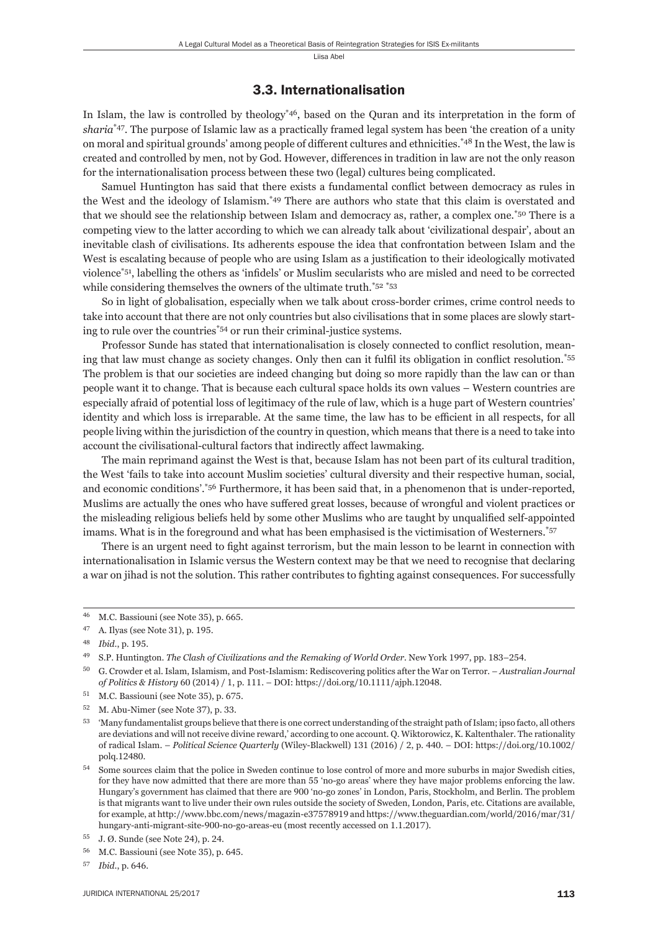#### 3.3. Internationalisation

In Islam, the law is controlled by theology<sup>\*46</sup>, based on the Quran and its interpretation in the form of *sharia*\*47. The purpose of Islamic law as a practically framed legal system has been 'the creation of a unity on moral and spiritual grounds' among people of different cultures and ethnicities.<sup>\*48</sup> In the West, the law is created and controlled by men, not by God. However, differences in tradition in law are not the only reason for the internationalisation process between these two (legal) cultures being complicated.

Samuel Huntington has said that there exists a fundamental conflict between democracy as rules in the West and the ideology of Islamism.\*49 There are authors who state that this claim is overstated and that we should see the relationship between Islam and democracy as, rather, a complex one.\*50 There is a competing view to the latter according to which we can already talk about 'civilizational despair', about an inevitable clash of civilisations. Its adherents espouse the idea that confrontation between Islam and the West is escalating because of people who are using Islam as a justification to their ideologically motivated violence<sup>\*51</sup>, labelling the others as 'infidels' or Muslim secularists who are misled and need to be corrected while considering themselves the owners of the ultimate truth.<sup>\*52 \*53</sup>

So in light of globalisation, especially when we talk about cross-border crimes, crime control needs to take into account that there are not only countries but also civilisations that in some places are slowly starting to rule over the countries\*54 or run their criminal-justice systems.

Professor Sunde has stated that internationalisation is closely connected to conflict resolution, meaning that law must change as society changes. Only then can it fulfil its obligation in conflict resolution.<sup>\*55</sup> The problem is that our societies are indeed changing but doing so more rapidly than the law can or than people want it to change. That is because each cultural space holds its own values – Western countries are especially afraid of potential loss of legitimacy of the rule of law, which is a huge part of Western countries' identity and which loss is irreparable. At the same time, the law has to be efficient in all respects, for all people living within the jurisdiction of the country in question, which means that there is a need to take into account the civilisational-cultural factors that indirectly affect lawmaking.

The main reprimand against the West is that, because Islam has not been part of its cultural tradition, the West 'fails to take into account Muslim societies' cultural diversity and their respective human, social, and economic conditions'.\*56 Furthermore, it has been said that, in a phenomenon that is under-reported, Muslims are actually the ones who have suffered great losses, because of wrongful and violent practices or the misleading religious beliefs held by some other Muslims who are taught by unqualified self-appointed imams. What is in the foreground and what has been emphasised is the victimisation of Westerners.\*57

There is an urgent need to fight against terrorism, but the main lesson to be learnt in connection with internationalisation in Islamic versus the Western context may be that we need to recognise that declaring a war on jihad is not the solution. This rather contributes to fighting against consequences. For successfully

<sup>&</sup>lt;sup>46</sup> M.C. Bassiouni (see Note 35), p. 665.

 $47$  A. Ilyas (see Note 31), p. 195.

<sup>48</sup> *Ibid.*, p. 195.

<sup>&</sup>lt;sup>49</sup> S.P. Huntington. *The Clash of Civilizations and the Remaking of World Order*. New York 1997, pp. 183-254.

ɶɱ G. Crowder et al. Islam, Islamism, and Post-Islamism: Rediscovering politics after the War on Terror. – *Australian Journal of Politics & History* 60 (2014) / 1, p. 111. – DOI: https://doi.org/10.1111/ajph.12048.

 $51$  M.C. Bassiouni (see Note 35), p. 675.

 $52$  M. Abu-Nimer (see Note 37), p. 33.

<sup>&</sup>lt;sup>53</sup> 'Many fundamentalist groups believe that there is one correct understanding of the straight path of Islam; ipso facto, all others are deviations and will not receive divine reward,' according to one account. Q. Wiktorowicz, K. Kaltenthaler. The rationality of radical Islam. – *Political Science Quarterly* (Wiley-Blackwell) 131 (2016) / 2, p. 440. – DOI: https://doi.org/10.1002/ polq.12480.

<sup>54</sup> Some sources claim that the police in Sweden continue to lose control of more and more suburbs in major Swedish cities, for they have now admitted that there are more than 55 'no-go areas' where they have major problems enforcing the law. Hungary's government has claimed that there are 900 'no-go zones' in London, Paris, Stockholm, and Berlin. The problem is that migrants want to live under their own rules outside the society of Sweden, London, Paris, etc. Citations are available, for example, at http://www.bbc.com/news/magazin-e37578919 and https://www.theguardian.com/world/2016/mar/31/ hungary-anti-migrant-site-900-no-go-areas-eu (most recently accessed on 1.1.2017).

<sup>55</sup> J. Ø. Sunde (see Note 24), p. 24.

<sup>&</sup>lt;sup>56</sup> M.C. Bassiouni (see Note 35), p. 645.

<sup>57</sup> *Ibid.*, p. 646.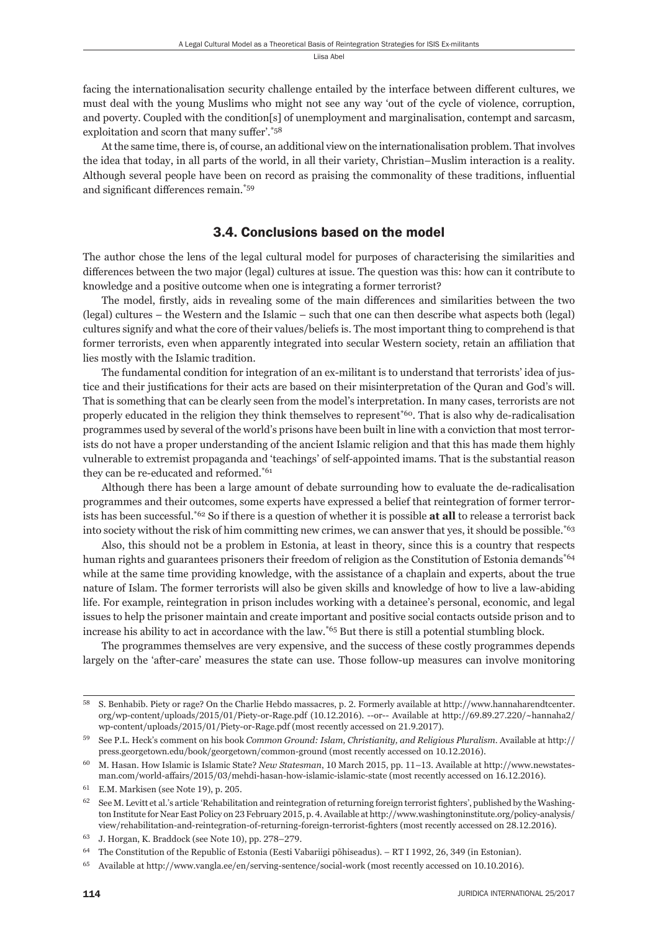facing the internationalisation security challenge entailed by the interface between different cultures, we must deal with the young Muslims who might not see any way 'out of the cycle of violence, corruption, and poverty. Coupled with the condition[s] of unemployment and marginalisation, contempt and sarcasm, exploitation and scorn that many suffer'. $*58$ 

At the same time, there is, of course, an additional view on the internationalisation problem. That involves the idea that today, in all parts of the world, in all their variety, Christian–Muslim interaction is a reality. Although several people have been on record as praising the commonality of these traditions, influential and significant differences remain.<sup>\*59</sup>

#### 3.4. Conclusions based on the model

The author chose the lens of the legal cultural model for purposes of characterising the similarities and differences between the two major (legal) cultures at issue. The question was this: how can it contribute to knowledge and a positive outcome when one is integrating a former terrorist?

The model, firstly, aids in revealing some of the main differences and similarities between the two (legal) cultures – the Western and the Islamic – such that one can then describe what aspects both (legal) cultures signify and what the core of their values/beliefs is. The most important thing to comprehend is that former terrorists, even when apparently integrated into secular Western society, retain an affiliation that lies mostly with the Islamic tradition.

The fundamental condition for integration of an ex-militant is to understand that terrorists' idea of justice and their justifications for their acts are based on their misinterpretation of the Quran and God's will. That is something that can be clearly seen from the model's interpretation. In many cases, terrorists are not properly educated in the religion they think themselves to represent\*60. That is also why de-radicalisation programmes used by several of the world's prisons have been built in line with a conviction that most terrorists do not have a proper understanding of the ancient Islamic religion and that this has made them highly vulnerable to extremist propaganda and 'teachings' of self-appointed imams. That is the substantial reason they can be re-educated and reformed.\*61

Although there has been a large amount of debate surrounding how to evaluate the de-radicalisation programmes and their outcomes, some experts have expressed a belief that reintegration of former terrorists has been successful.\*62 So if there is a question of whether it is possible **at all** to release a terrorist back into society without the risk of him committing new crimes, we can answer that yes, it should be possible.<sup>\*63</sup>

Also, this should not be a problem in Estonia, at least in theory, since this is a country that respects human rights and guarantees prisoners their freedom of religion as the Constitution of Estonia demands<sup>\*64</sup> while at the same time providing knowledge, with the assistance of a chaplain and experts, about the true nature of Islam. The former terrorists will also be given skills and knowledge of how to live a law-abiding life. For example, reintegration in prison includes working with a detainee's personal, economic, and legal issues to help the prisoner maintain and create important and positive social contacts outside prison and to increase his ability to act in accordance with the law.\*65 But there is still a potential stumbling block.

The programmes themselves are very expensive, and the success of these costly programmes depends largely on the 'after-care' measures the state can use. Those follow-up measures can involve monitoring

S. Benhabib. Piety or rage? On the Charlie Hebdo massacres, p. 2. Formerly available at http://www.hannaharendtcenter. org/wp-content/uploads/2015/01/Piety-or-Rage.pdf (10.12.2016). --or-- Available at http://69.89.27.220/~hannaha2/ wp-content/uploads/2015/01/Piety-or-Rage.pdf (most recently accessed on 21.9.2017).

See P.L. Heck's comment on his book *Common Ground: Islam, Christianity, and Religious Pluralism*. Available at http:// press.georgetown.edu/book/georgetown/common-ground (most recently accessed on 10.12.2016).

<sup>&</sup>lt;sup>60</sup> M. Hasan. How Islamic is Islamic State? *New Statesman*, 10 March 2015, pp. 11–13. Available at http://www.newstatesman.com/world-affairs/2015/03/mehdi-hasan-how-islamic-islamic-state (most recently accessed on 16.12.2016).

 $61$  E.M. Markisen (see Note 19), p. 205.

 $62$  See M. Levitt et al.'s article 'Rehabilitation and reintegration of returning foreign terrorist fighters', published by the Washington Institute for Near East Policy on 23 February 2015, p. 4. Available at http://www.washingtoninstitute.org/policy-analysis/ view/rehabilitation-and-reintegration-of-returning-foreign-terrorist-fighters (most recently accessed on 28.12.2016).

 $^{63}$  J. Horgan, K. Braddock (see Note 10), pp. 278-279.

The Constitution of the Republic of Estonia (Eesti Vabariigi põhiseadus). – RT I 1992, 26, 349 (in Estonian).

 $^{65}$  Available at http://www.vangla.ee/en/serving-sentence/social-work (most recently accessed on 10.10.2016).